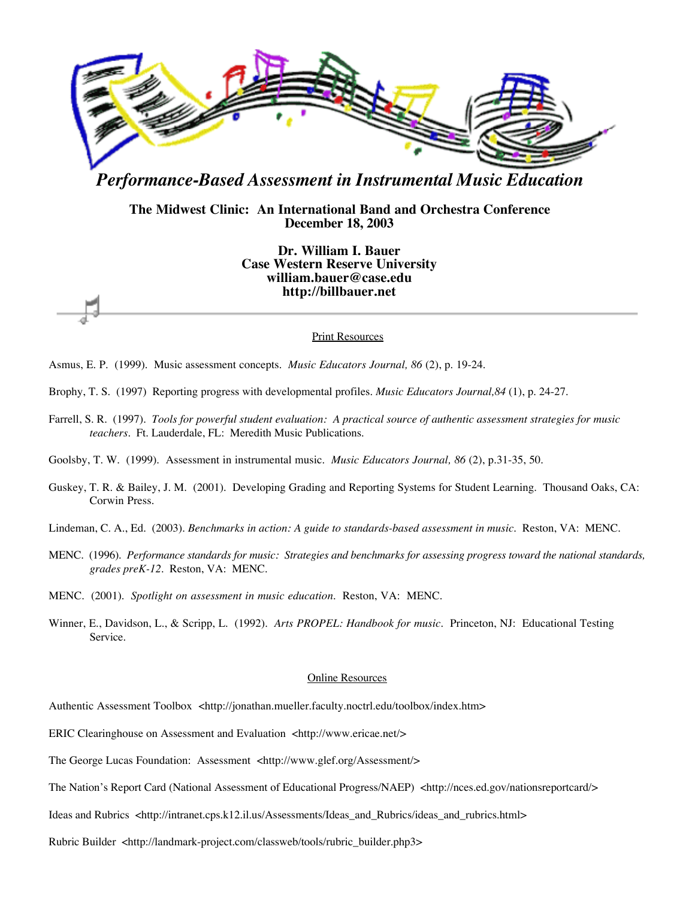

# *Performance-Based Assessment in Instrumental Music Education*

# **The Midwest Clinic: An International Band and Orchestra Conference December 18, 2003**

**Dr. William I. Bauer Case Western Reserve University william.bauer@case.edu http://billbauer.net**

#### **Print Resources**

- Asmus, E. P. (1999). Music assessment concepts. *Music Educators Journal, 86* (2), p. 19-24.
- Brophy, T. S. (1997) Reporting progress with developmental profiles. *Music Educators Journal,84* (1), p. 24-27.
- Farrell, S. R. (1997). *Tools for powerful student evaluation: A practical source of authentic assessment strategies for music teachers*. Ft. Lauderdale, FL: Meredith Music Publications.
- Goolsby, T. W. (1999). Assessment in instrumental music. *Music Educators Journal, 86* (2), p.31-35, 50.
- Guskey, T. R. & Bailey, J. M. (2001). Developing Grading and Reporting Systems for Student Learning. Thousand Oaks, CA: Corwin Press.
- Lindeman, C. A., Ed. (2003). *Benchmarks in action: A guide to standards-based assessment in music*. Reston, VA: MENC.
- MENC. (1996). *Performance standards for music: Strategies and benchmarks for assessing progress toward the national standards, grades preK-12*. Reston, VA: MENC.
- MENC. (2001). *Spotlight on assessment in music education*. Reston, VA: MENC.
- Winner, E., Davidson, L., & Scripp, L. (1992). *Arts PROPEL: Handbook for music*. Princeton, NJ: Educational Testing Service.

#### Online Resources

- Authentic Assessment Toolbox <http://jonathan.mueller.faculty.noctrl.edu/toolbox/index.htm>
- ERIC Clearinghouse on Assessment and Evaluation <http://www.ericae.net/>
- The George Lucas Foundation: Assessment <http://www.glef.org/Assessment/>
- The Nation's Report Card (National Assessment of Educational Progress/NAEP) <http://nces.ed.gov/nationsreportcard/>
- Ideas and Rubrics <http://intranet.cps.k12.il.us/Assessments/Ideas\_and\_Rubrics/ideas\_and\_rubrics.html>
- Rubric Builder <http://landmark-project.com/classweb/tools/rubric\_builder.php3>